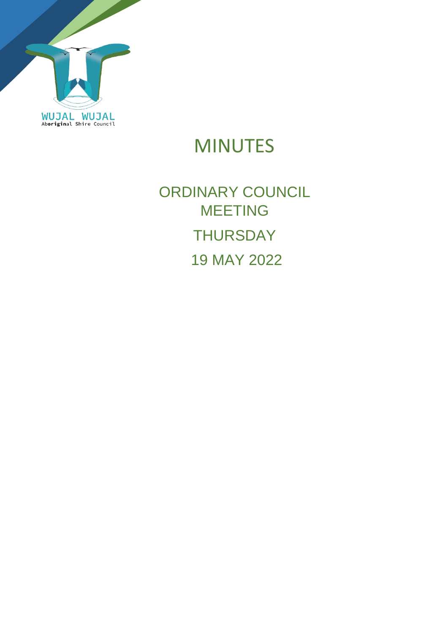

## MINUTES

# ORDINARY COUNCIL MEETING **THURSDAY** 19 MAY 2022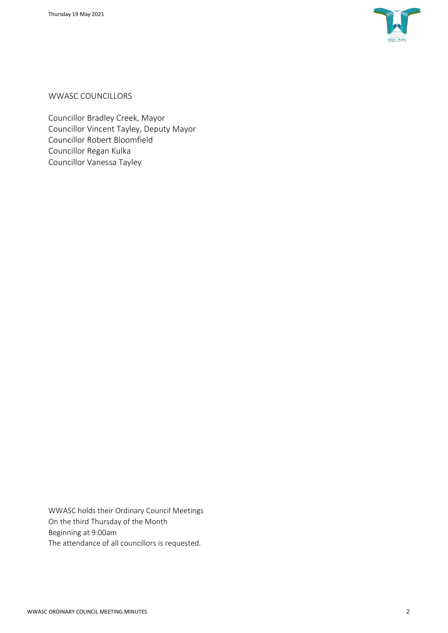

WWASC COUNCILLORS

Councillor Bradley Creek, Mayor Councillor Vincent Tayley, Deputy Mayor Councillor Robert Bloomfield Councillor Regan Kulka Councillor Vanessa Tayley

WWASC holds their Ordinary Council Meetings On the third Thursday of the Month Beginning at 9:00am The attendance of all councillors is requested.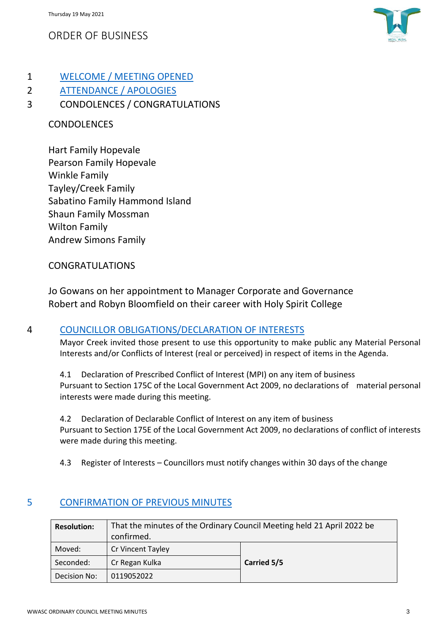## ORDER OF BUSINESS



## 1 WELCOME / MEETING OPENED

2 ATTENDANCE / APOLOGIES

## 3 CONDOLENCES / CONGRATULATIONS

### CONDOLENCES

Hart Family Hopevale Pearson Family Hopevale Winkle Family Tayley/Creek Family Sabatino Family Hammond Island Shaun Family Mossman Wilton Family Andrew Simons Family

#### CONGRATULATIONS

Jo Gowans on her appointment to Manager Corporate and Governance Robert and Robyn Bloomfield on their career with Holy Spirit College

#### 4 COUNCILLOR OBLIGATIONS/DECLARATION OF INTERESTS

Mayor Creek invited those present to use this opportunity to make public any Material Personal Interests and/or Conflicts of Interest (real or perceived) in respect of items in the Agenda.

4.1 Declaration of Prescribed Conflict of Interest (MPI) on any item of business Pursuant to Section 175C of the Local Government Act 2009, no declarations of material personal interests were made during this meeting.

4.2 Declaration of Declarable Conflict of Interest on any item of business Pursuant to Section 175E of the Local Government Act 2009, no declarations of conflict of interests were made during this meeting.

4.3 Register of Interests – Councillors must notify changes within 30 days of the change

#### 5 CONFIRMATION OF PREVIOUS MINUTES

| <b>Resolution:</b> | That the minutes of the Ordinary Council Meeting held 21 April 2022 be<br>confirmed. |             |
|--------------------|--------------------------------------------------------------------------------------|-------------|
| Moved:             | Cr Vincent Tayley                                                                    |             |
| Seconded:          | Cr Regan Kulka                                                                       | Carried 5/5 |
| Decision No:       | 0119052022                                                                           |             |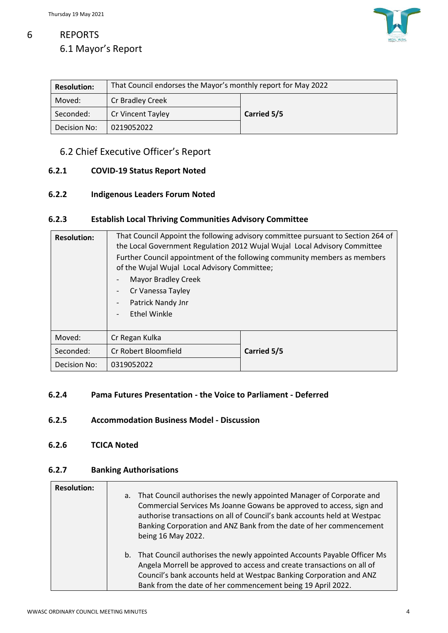

## 6 REPORTS 6.1 Mayor's Report

| <b>Resolution:</b> | That Council endorses the Mayor's monthly report for May 2022 |             |  |
|--------------------|---------------------------------------------------------------|-------------|--|
| Moved:             | Cr Bradley Creek                                              |             |  |
| Seconded:          | <b>Cr Vincent Tayley</b>                                      | Carried 5/5 |  |
| Decision No:       | 0219052022                                                    |             |  |

#### 6.2 Chief Executive Officer's Report

#### **6.2.1 COVID-19 Status Report Noted**

#### **6.2.2 Indigenous Leaders Forum Noted**

#### **6.2.3 Establish Local Thriving Communities Advisory Committee**

| <b>Resolution:</b> | of the Wujal Wujal Local Advisory Committee;<br>Mayor Bradley Creek<br>-<br>Cr Vanessa Tayley<br>-<br>Patrick Nandy Jnr<br>-<br><b>Ethel Winkle</b><br>$\overline{a}$ | That Council Appoint the following advisory committee pursuant to Section 264 of<br>the Local Government Regulation 2012 Wujal Wujal Local Advisory Committee<br>Further Council appointment of the following community members as members |
|--------------------|-----------------------------------------------------------------------------------------------------------------------------------------------------------------------|--------------------------------------------------------------------------------------------------------------------------------------------------------------------------------------------------------------------------------------------|
| Moved:             | Cr Regan Kulka                                                                                                                                                        |                                                                                                                                                                                                                                            |
| Seconded:          | Cr Robert Bloomfield                                                                                                                                                  | Carried 5/5                                                                                                                                                                                                                                |
| Decision No:       | 0319052022                                                                                                                                                            |                                                                                                                                                                                                                                            |

#### **6.2.4 Pama Futures Presentation - the Voice to Parliament - Deferred**

#### **6.2.5 Accommodation Business Model - Discussion**

**6.2.6 TCICA Noted**

#### **6.2.7 Banking Authorisations**

| <b>Resolution:</b> | a. That Council authorises the newly appointed Manager of Corporate and<br>Commercial Services Ms Joanne Gowans be approved to access, sign and<br>authorise transactions on all of Council's bank accounts held at Westpac<br>Banking Corporation and ANZ Bank from the date of her commencement<br>being 16 May 2022. |
|--------------------|-------------------------------------------------------------------------------------------------------------------------------------------------------------------------------------------------------------------------------------------------------------------------------------------------------------------------|
|                    | b. That Council authorises the newly appointed Accounts Payable Officer Ms<br>Angela Morrell be approved to access and create transactions on all of<br>Council's bank accounts held at Westpac Banking Corporation and ANZ<br>Bank from the date of her commencement being 19 April 2022.                              |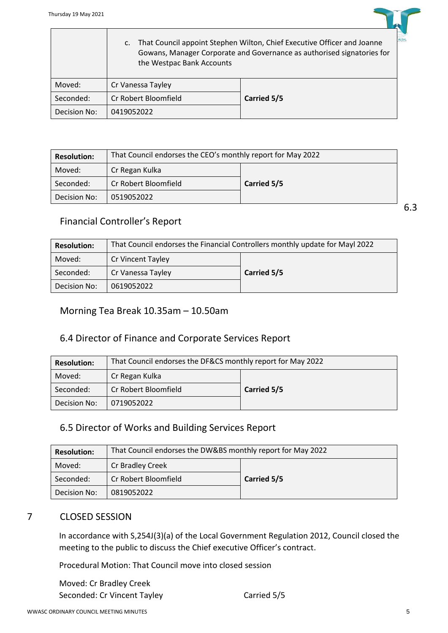$\overline{\phantom{a}}$ 

|              | That Council appoint Stephen Wilton, Chief Executive Officer and Joanne<br>$\mathsf{C}$ .<br>Gowans, Manager Corporate and Governance as authorised signatories for<br>the Westpac Bank Accounts |             |
|--------------|--------------------------------------------------------------------------------------------------------------------------------------------------------------------------------------------------|-------------|
| Moved:       | Cr Vanessa Tayley                                                                                                                                                                                |             |
| Seconded:    | Cr Robert Bloomfield                                                                                                                                                                             | Carried 5/5 |
| Decision No: | 0419052022                                                                                                                                                                                       |             |

| <b>Resolution:</b> | That Council endorses the CEO's monthly report for May 2022 |             |  |
|--------------------|-------------------------------------------------------------|-------------|--|
| Moved:             | Cr Regan Kulka                                              |             |  |
| Seconded:          | Cr Robert Bloomfield                                        | Carried 5/5 |  |
| Decision No:       | 0519052022                                                  |             |  |

#### Financial Controller's Report

| <b>Resolution:</b> | That Council endorses the Financial Controllers monthly update for Mayl 2022 |             |  |
|--------------------|------------------------------------------------------------------------------|-------------|--|
| Moved:             | Cr Vincent Tayley                                                            |             |  |
| Seconded:          | Cr Vanessa Tayley                                                            | Carried 5/5 |  |
| Decision No:       | 0619052022                                                                   |             |  |

#### Morning Tea Break 10.35am – 10.50am

#### 6.4 Director of Finance and Corporate Services Report

| <b>Resolution:</b> | That Council endorses the DF&CS monthly report for May 2022 |             |  |
|--------------------|-------------------------------------------------------------|-------------|--|
| Moved:             | Cr Regan Kulka                                              |             |  |
| Seconded:          | Cr Robert Bloomfield                                        | Carried 5/5 |  |
| Decision No:       | 0719052022                                                  |             |  |

#### 6.5 Director of Works and Building Services Report

| <b>Resolution:</b> | That Council endorses the DW&BS monthly report for May 2022 |             |  |
|--------------------|-------------------------------------------------------------|-------------|--|
| Moved:             | Cr Bradley Creek                                            |             |  |
| Seconded:          | Cr Robert Bloomfield                                        | Carried 5/5 |  |
| Decision No:       | 0819052022                                                  |             |  |

#### 7 CLOSED SESSION

In accordance with S,254J(3)(a) of the Local Government Regulation 2012, Council closed the meeting to the public to discuss the Chief executive Officer's contract.

Procedural Motion: That Council move into closed session

Moved: Cr Bradley Creek Seconded: Cr Vincent Tayley Carried 5/5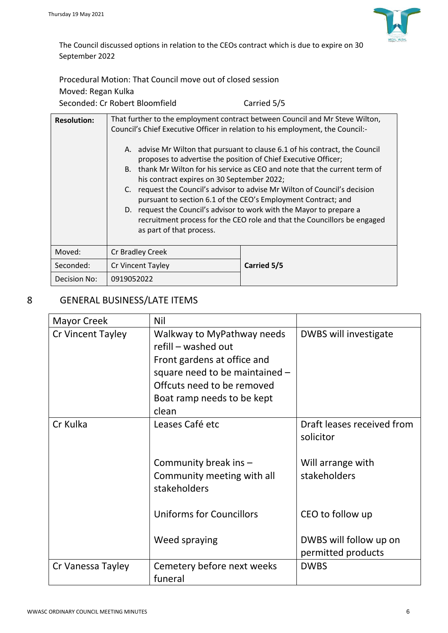

The Council discussed options in relation to the CEOs contract which is due to expire on 30 September 2022

Procedural Motion: That Council move out of closed session

| Moved: Regan Kulka             |             |
|--------------------------------|-------------|
| Seconded: Cr Robert Bloomfield | Carried 5/5 |

| <b>Resolution:</b> | That further to the employment contract between Council and Mr Steve Wilton,<br>Council's Chief Executive Officer in relation to his employment, the Council:-<br>A. advise Mr Wilton that pursuant to clause 6.1 of his contract, the Council<br>proposes to advertise the position of Chief Executive Officer;<br>thank Mr Wilton for his service as CEO and note that the current term of<br>B.<br>his contract expires on 30 September 2022;<br>request the Council's advisor to advise Mr Wilton of Council's decision<br>C.<br>pursuant to section 6.1 of the CEO's Employment Contract; and<br>D. request the Council's advisor to work with the Mayor to prepare a |             |
|--------------------|----------------------------------------------------------------------------------------------------------------------------------------------------------------------------------------------------------------------------------------------------------------------------------------------------------------------------------------------------------------------------------------------------------------------------------------------------------------------------------------------------------------------------------------------------------------------------------------------------------------------------------------------------------------------------|-------------|
|                    | recruitment process for the CEO role and that the Councillors be engaged<br>as part of that process.                                                                                                                                                                                                                                                                                                                                                                                                                                                                                                                                                                       |             |
| Moved:             | Cr Bradley Creek                                                                                                                                                                                                                                                                                                                                                                                                                                                                                                                                                                                                                                                           |             |
| Seconded:          | Cr Vincent Tayley                                                                                                                                                                                                                                                                                                                                                                                                                                                                                                                                                                                                                                                          | Carried 5/5 |
| Decision No:       | 0919052022                                                                                                                                                                                                                                                                                                                                                                                                                                                                                                                                                                                                                                                                 |             |

### 8 GENERAL BUSINESS/LATE ITEMS

| <b>Mayor Creek</b> | Nil                                                                                                                                                                                       |                                                                              |
|--------------------|-------------------------------------------------------------------------------------------------------------------------------------------------------------------------------------------|------------------------------------------------------------------------------|
| Cr Vincent Tayley  | Walkway to MyPathway needs<br>refill - washed out<br>Front gardens at office and<br>square need to be maintained $-$<br>Offcuts need to be removed<br>Boat ramp needs to be kept<br>clean | DWBS will investigate                                                        |
| Cr Kulka           | Leases Café etc<br>Community break ins -<br>Community meeting with all<br>stakeholders                                                                                                    | Draft leases received from<br>solicitor<br>Will arrange with<br>stakeholders |
|                    | <b>Uniforms for Councillors</b>                                                                                                                                                           | CEO to follow up                                                             |
|                    | Weed spraying                                                                                                                                                                             | DWBS will follow up on<br>permitted products                                 |
| Cr Vanessa Tayley  | Cemetery before next weeks<br>funeral                                                                                                                                                     | <b>DWBS</b>                                                                  |